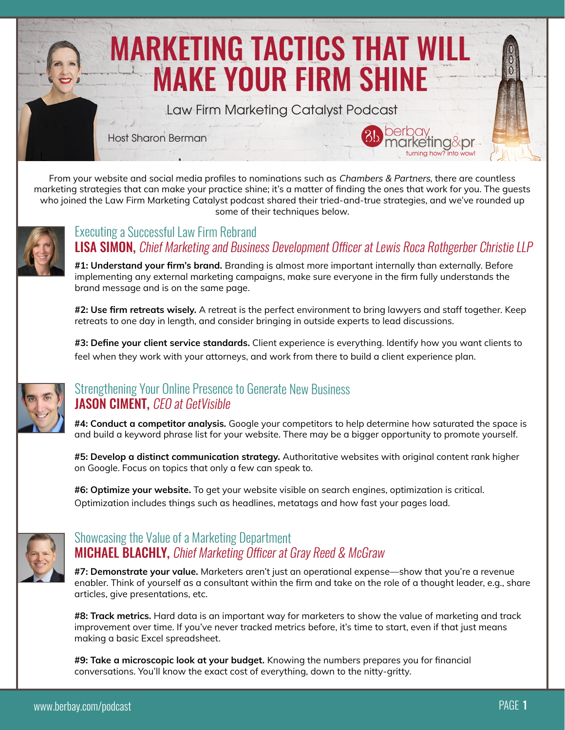

From your website and social media profiles to nominations such as *Chambers & Partners*, there are countless marketing strategies that can make your practice shine; it's a matter of finding the ones that work for you. The guests who joined the Law Firm Marketing Catalyst podcast shared their tried-and-true strategies, and we've rounded up some of their techniques below.



#### LISA SIMON, Chief Marketing and Business Development Officer at Lewis Roca Rothgerber Christie LLP Executing a Successful Law Firm Rebrand

**#1: Understand your firm's brand.** Branding is almost more important internally than externally. Before implementing any external marketing campaigns, make sure everyone in the firm fully understands the brand message and is on the same page.

**#2: Use firm retreats wisely.** A retreat is the perfect environment to bring lawyers and staff together. Keep retreats to one day in length, and consider bringing in outside experts to lead discussions.

**#3: Define your client service standards.** Client experience is everything. Identify how you want clients to feel when they work with your attorneys, and work from there to build a client experience plan.



### JASON CIMENT, CEO at GetVisible Strengthening Your Online Presence to Generate New Business

**#4: Conduct a competitor analysis.** Google your competitors to help determine how saturated the space is and build a keyword phrase list for your website. There may be a bigger opportunity to promote yourself.

**#5: Develop a distinct communication strategy.** Authoritative websites with original content rank higher on Google. Focus on topics that only a few can speak to.

**#6: Optimize your website.** To get your website visible on search engines, optimization is critical. Optimization includes things such as headlines, metatags and how fast your pages load.



## **MICHAEL BLACHLY, Chief Marketing Officer at Gray Reed & McGraw** Showcasing the Value of a Marketing Department

**#7: Demonstrate your value.** Marketers aren't just an operational expense—show that you're a revenue enabler. Think of yourself as a consultant within the firm and take on the role of a thought leader, e.g., share articles, give presentations, etc.

**#8: Track metrics.** Hard data is an important way for marketers to show the value of marketing and track improvement over time. If you've never tracked metrics before, it's time to start, even if that just means making a basic Excel spreadsheet.

**#9: Take a microscopic look at your budget.** Knowing the numbers prepares you for financial conversations. You'll know the exact cost of everything, down to the nitty-gritty.